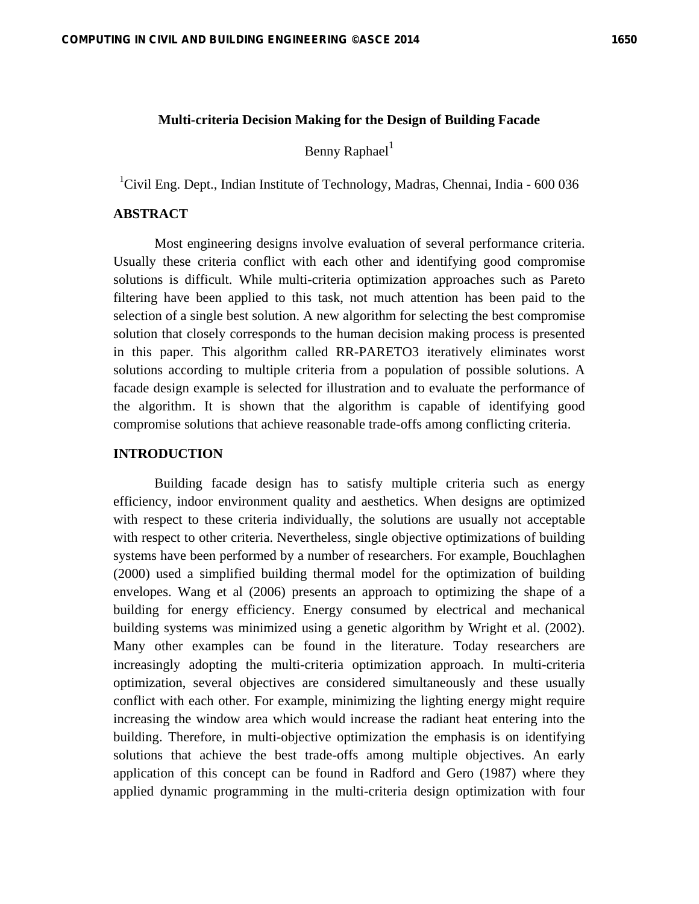#### **Multi-criteria Decision Making for the Design of Building Facade**

Benny Raphael<sup>1</sup>

<sup>1</sup>Civil Eng. Dept., Indian Institute of Technology, Madras, Chennai, India - 600 036

# **ABSTRACT**

Most engineering designs involve evaluation of several performance criteria. Usually these criteria conflict with each other and identifying good compromise solutions is difficult. While multi-criteria optimization approaches such as Pareto filtering have been applied to this task, not much attention has been paid to the selection of a single best solution. A new algorithm for selecting the best compromise solution that closely corresponds to the human decision making process is presented in this paper. This algorithm called RR-PARETO3 iteratively eliminates worst solutions according to multiple criteria from a population of possible solutions. A facade design example is selected for illustration and to evaluate the performance of the algorithm. It is shown that the algorithm is capable of identifying good compromise solutions that achieve reasonable trade-offs among conflicting criteria.

#### **INTRODUCTION**

Building facade design has to satisfy multiple criteria such as energy efficiency, indoor environment quality and aesthetics. When designs are optimized with respect to these criteria individually, the solutions are usually not acceptable with respect to other criteria. Nevertheless, single objective optimizations of building systems have been performed by a number of researchers. For example, Bouchlaghen (2000) used a simplified building thermal model for the optimization of building envelopes. Wang et al (2006) presents an approach to optimizing the shape of a building for energy efficiency. Energy consumed by electrical and mechanical building systems was minimized using a genetic algorithm by Wright et al. (2002). Many other examples can be found in the literature. Today researchers are increasingly adopting the multi-criteria optimization approach. In multi-criteria optimization, several objectives are considered simultaneously and these usually conflict with each other. For example, minimizing the lighting energy might require increasing the window area which would increase the radiant heat entering into the building. Therefore, in multi-objective optimization the emphasis is on identifying solutions that achieve the best trade-offs among multiple objectives. An early application of this concept can be found in Radford and Gero (1987) where they applied dynamic programming in the multi-criteria design optimization with four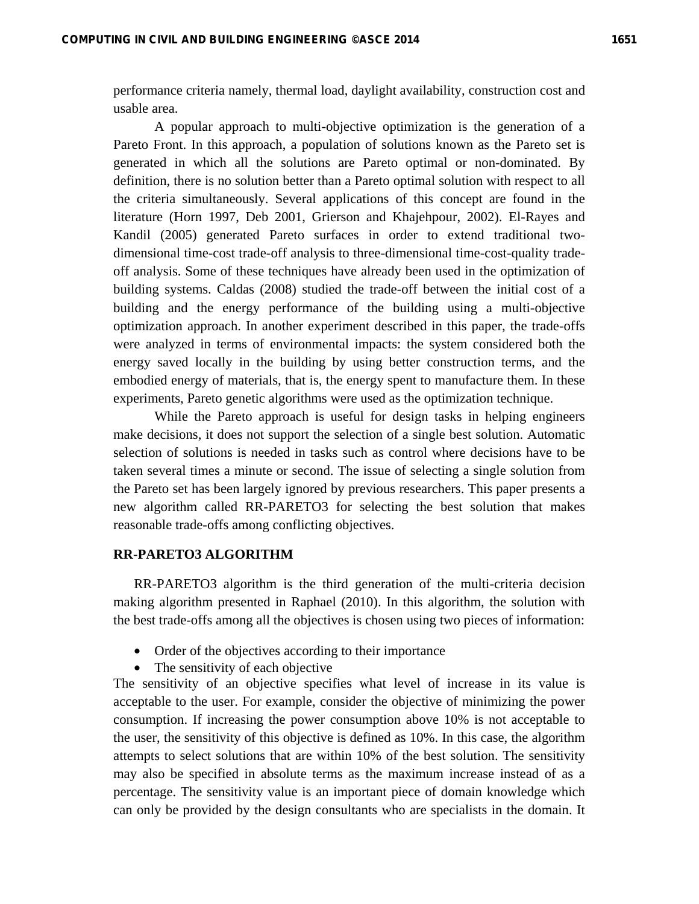performance criteria namely, thermal load, daylight availability, construction cost and usable area.

A popular approach to multi-objective optimization is the generation of a Pareto Front. In this approach, a population of solutions known as the Pareto set is generated in which all the solutions are Pareto optimal or non-dominated. By definition, there is no solution better than a Pareto optimal solution with respect to all the criteria simultaneously. Several applications of this concept are found in the literature (Horn 1997, Deb 2001, Grierson and Khajehpour, 2002). El-Rayes and Kandil (2005) generated Pareto surfaces in order to extend traditional twodimensional time-cost trade-off analysis to three-dimensional time-cost-quality tradeoff analysis. Some of these techniques have already been used in the optimization of building systems. Caldas (2008) studied the trade-off between the initial cost of a building and the energy performance of the building using a multi-objective optimization approach. In another experiment described in this paper, the trade-offs were analyzed in terms of environmental impacts: the system considered both the energy saved locally in the building by using better construction terms, and the embodied energy of materials, that is, the energy spent to manufacture them. In these experiments, Pareto genetic algorithms were used as the optimization technique.

While the Pareto approach is useful for design tasks in helping engineers make decisions, it does not support the selection of a single best solution. Automatic selection of solutions is needed in tasks such as control where decisions have to be taken several times a minute or second. The issue of selecting a single solution from the Pareto set has been largely ignored by previous researchers. This paper presents a new algorithm called RR-PARETO3 for selecting the best solution that makes reasonable trade-offs among conflicting objectives.

## **RR-PARETO3 ALGORITHM**

RR-PARETO3 algorithm is the third generation of the multi-criteria decision making algorithm presented in Raphael (2010). In this algorithm, the solution with the best trade-offs among all the objectives is chosen using two pieces of information:

- Order of the objectives according to their importance
- The sensitivity of each objective

The sensitivity of an objective specifies what level of increase in its value is acceptable to the user. For example, consider the objective of minimizing the power consumption. If increasing the power consumption above 10% is not acceptable to the user, the sensitivity of this objective is defined as 10%. In this case, the algorithm attempts to select solutions that are within 10% of the best solution. The sensitivity may also be specified in absolute terms as the maximum increase instead of as a percentage. The sensitivity value is an important piece of domain knowledge which can only be provided by the design consultants who are specialists in the domain. It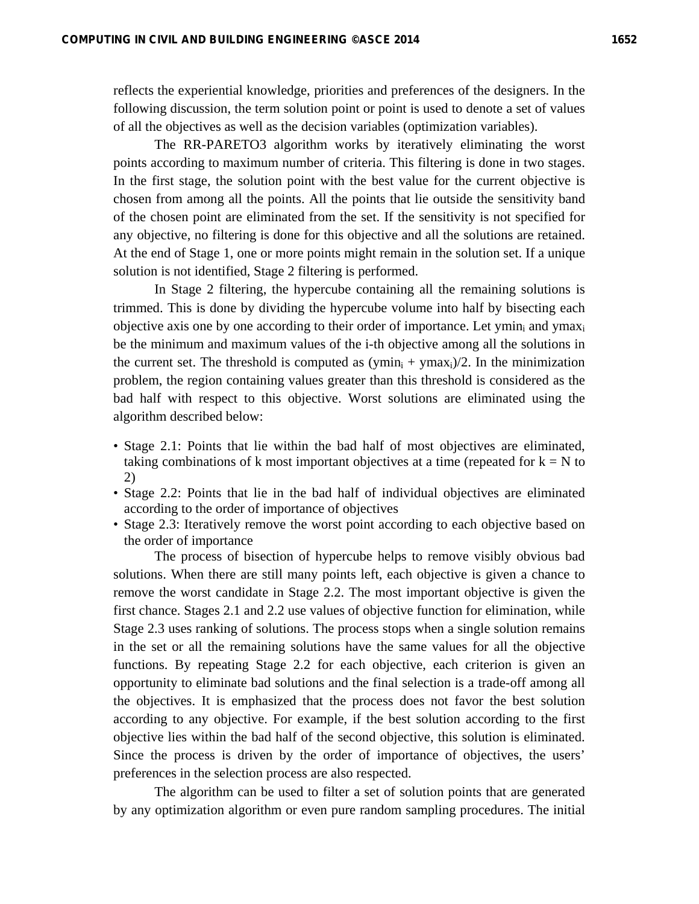reflects the experiential knowledge, priorities and preferences of the designers. In the following discussion, the term solution point or point is used to denote a set of values of all the objectives as well as the decision variables (optimization variables).

The RR-PARETO3 algorithm works by iteratively eliminating the worst points according to maximum number of criteria. This filtering is done in two stages. In the first stage, the solution point with the best value for the current objective is chosen from among all the points. All the points that lie outside the sensitivity band of the chosen point are eliminated from the set. If the sensitivity is not specified for any objective, no filtering is done for this objective and all the solutions are retained. At the end of Stage 1, one or more points might remain in the solution set. If a unique solution is not identified, Stage 2 filtering is performed.

In Stage 2 filtering, the hypercube containing all the remaining solutions is trimmed. This is done by dividing the hypercube volume into half by bisecting each objective axis one by one according to their order of importance. Let ymin<sub>i</sub> and ymax<sub>i</sub> be the minimum and maximum values of the i-th objective among all the solutions in the current set. The threshold is computed as  $(\text{ymin}_i + \text{ymax}_i)/2$ . In the minimization problem, the region containing values greater than this threshold is considered as the bad half with respect to this objective. Worst solutions are eliminated using the algorithm described below:

- Stage 2.1: Points that lie within the bad half of most objectives are eliminated, taking combinations of k most important objectives at a time (repeated for  $k = N$  to 2)
- Stage 2.2: Points that lie in the bad half of individual objectives are eliminated according to the order of importance of objectives
- Stage 2.3: Iteratively remove the worst point according to each objective based on the order of importance

The process of bisection of hypercube helps to remove visibly obvious bad solutions. When there are still many points left, each objective is given a chance to remove the worst candidate in Stage 2.2. The most important objective is given the first chance. Stages 2.1 and 2.2 use values of objective function for elimination, while Stage 2.3 uses ranking of solutions. The process stops when a single solution remains in the set or all the remaining solutions have the same values for all the objective functions. By repeating Stage 2.2 for each objective, each criterion is given an opportunity to eliminate bad solutions and the final selection is a trade-off among all the objectives. It is emphasized that the process does not favor the best solution according to any objective. For example, if the best solution according to the first objective lies within the bad half of the second objective, this solution is eliminated. Since the process is driven by the order of importance of objectives, the users' preferences in the selection process are also respected.

The algorithm can be used to filter a set of solution points that are generated by any optimization algorithm or even pure random sampling procedures. The initial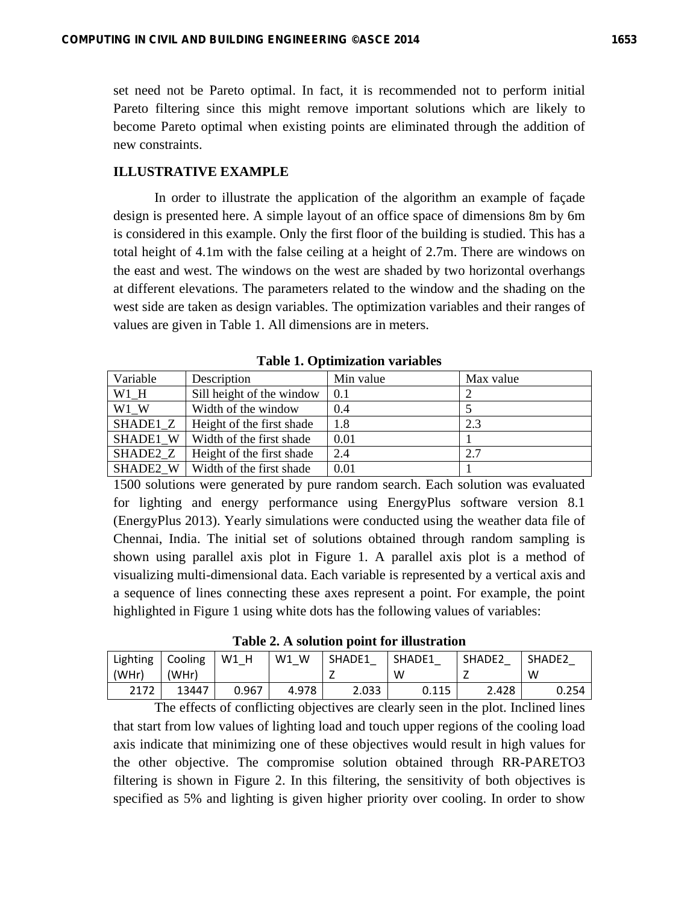set need not be Pareto optimal. In fact, it is recommended not to perform initial Pareto filtering since this might remove important solutions which are likely to become Pareto optimal when existing points are eliminated through the addition of new constraints.

#### **ILLUSTRATIVE EXAMPLE**

In order to illustrate the application of the algorithm an example of façade design is presented here. A simple layout of an office space of dimensions 8m by 6m is considered in this example. Only the first floor of the building is studied. This has a total height of 4.1m with the false ceiling at a height of 2.7m. There are windows on the east and west. The windows on the west are shaded by two horizontal overhangs at different elevations. The parameters related to the window and the shading on the west side are taken as design variables. The optimization variables and their ranges of values are given in Table 1. All dimensions are in meters.

| Variable | Description                         | Min value | Max value |  |  |  |  |
|----------|-------------------------------------|-----------|-----------|--|--|--|--|
| W1 H     | Sill height of the window           | 0.1       |           |  |  |  |  |
| W1 W     | Width of the window                 | 0.4       |           |  |  |  |  |
| SHADE1 Z | Height of the first shade           | 1.8       | 2.3       |  |  |  |  |
| SHADE1 W | Width of the first shade            | 0.01      |           |  |  |  |  |
| SHADE2 Z | Height of the first shade           | 2.4       | 2.7       |  |  |  |  |
|          | SHADE2 $W$ Width of the first shade | 0.01      |           |  |  |  |  |

**Table 1. Optimization variables** 

1500 solutions were generated by pure random search. Each solution was evaluated for lighting and energy performance using EnergyPlus software version 8.1 (EnergyPlus 2013). Yearly simulations were conducted using the weather data file of Chennai, India. The initial set of solutions obtained through random sampling is shown using parallel axis plot in Figure 1. A parallel axis plot is a method of visualizing multi-dimensional data. Each variable is represented by a vertical axis and a sequence of lines connecting these axes represent a point. For example, the point highlighted in Figure 1 using white dots has the following values of variables:

**Table 2. A solution point for illustration** 

| Lighting | <b>Cooling</b> | W1<br>н | W<br>W1 | SHADE1 | SHADE1 | SHADE <sub>2</sub> | SHADE <sub>2</sub> |
|----------|----------------|---------|---------|--------|--------|--------------------|--------------------|
| (WHr)    | 'WHr)          |         |         | _      | W      | -                  | W                  |
| 2172     | 13447          | 0.967   | 4.978   | 2.033  | 0.115  | 2.428              | 0.254              |

The effects of conflicting objectives are clearly seen in the plot. Inclined lines that start from low values of lighting load and touch upper regions of the cooling load axis indicate that minimizing one of these objectives would result in high values for the other objective. The compromise solution obtained through RR-PARETO3 filtering is shown in Figure 2. In this filtering, the sensitivity of both objectives is specified as 5% and lighting is given higher priority over cooling. In order to show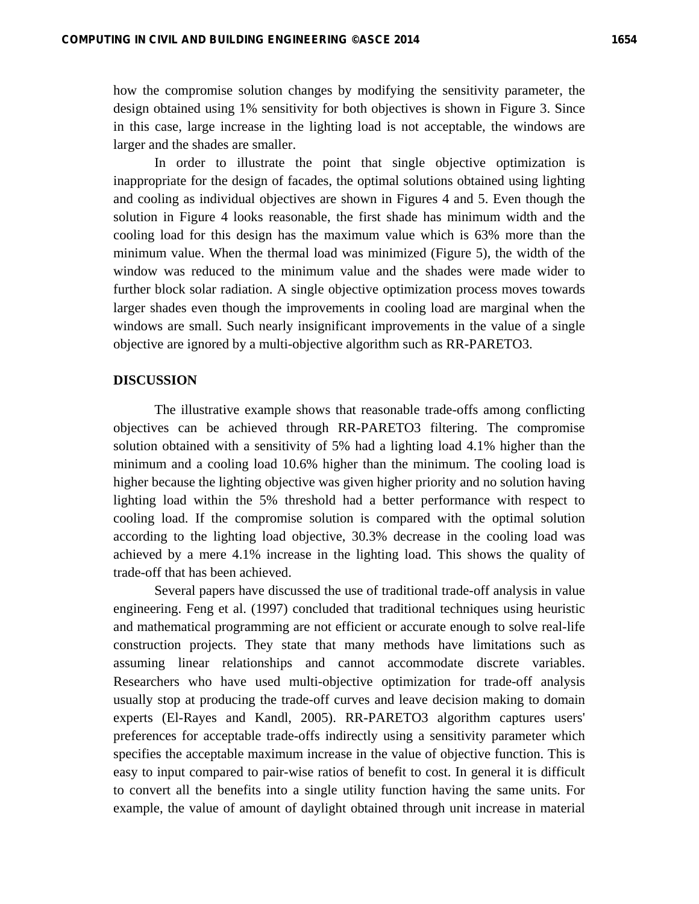how the compromise solution changes by modifying the sensitivity parameter, the design obtained using 1% sensitivity for both objectives is shown in Figure 3. Since in this case, large increase in the lighting load is not acceptable, the windows are larger and the shades are smaller.

In order to illustrate the point that single objective optimization is inappropriate for the design of facades, the optimal solutions obtained using lighting and cooling as individual objectives are shown in Figures 4 and 5. Even though the solution in Figure 4 looks reasonable, the first shade has minimum width and the cooling load for this design has the maximum value which is 63% more than the minimum value. When the thermal load was minimized (Figure 5), the width of the window was reduced to the minimum value and the shades were made wider to further block solar radiation. A single objective optimization process moves towards larger shades even though the improvements in cooling load are marginal when the windows are small. Such nearly insignificant improvements in the value of a single objective are ignored by a multi-objective algorithm such as RR-PARETO3.

## **DISCUSSION**

The illustrative example shows that reasonable trade-offs among conflicting objectives can be achieved through RR-PARETO3 filtering. The compromise solution obtained with a sensitivity of 5% had a lighting load 4.1% higher than the minimum and a cooling load 10.6% higher than the minimum. The cooling load is higher because the lighting objective was given higher priority and no solution having lighting load within the 5% threshold had a better performance with respect to cooling load. If the compromise solution is compared with the optimal solution according to the lighting load objective, 30.3% decrease in the cooling load was achieved by a mere 4.1% increase in the lighting load. This shows the quality of trade-off that has been achieved.

Several papers have discussed the use of traditional trade-off analysis in value engineering. Feng et al. (1997) concluded that traditional techniques using heuristic and mathematical programming are not efficient or accurate enough to solve real-life construction projects. They state that many methods have limitations such as assuming linear relationships and cannot accommodate discrete variables. Researchers who have used multi-objective optimization for trade-off analysis usually stop at producing the trade-off curves and leave decision making to domain experts (El-Rayes and Kandl, 2005). RR-PARETO3 algorithm captures users' preferences for acceptable trade-offs indirectly using a sensitivity parameter which specifies the acceptable maximum increase in the value of objective function. This is easy to input compared to pair-wise ratios of benefit to cost. In general it is difficult to convert all the benefits into a single utility function having the same units. For example, the value of amount of daylight obtained through unit increase in material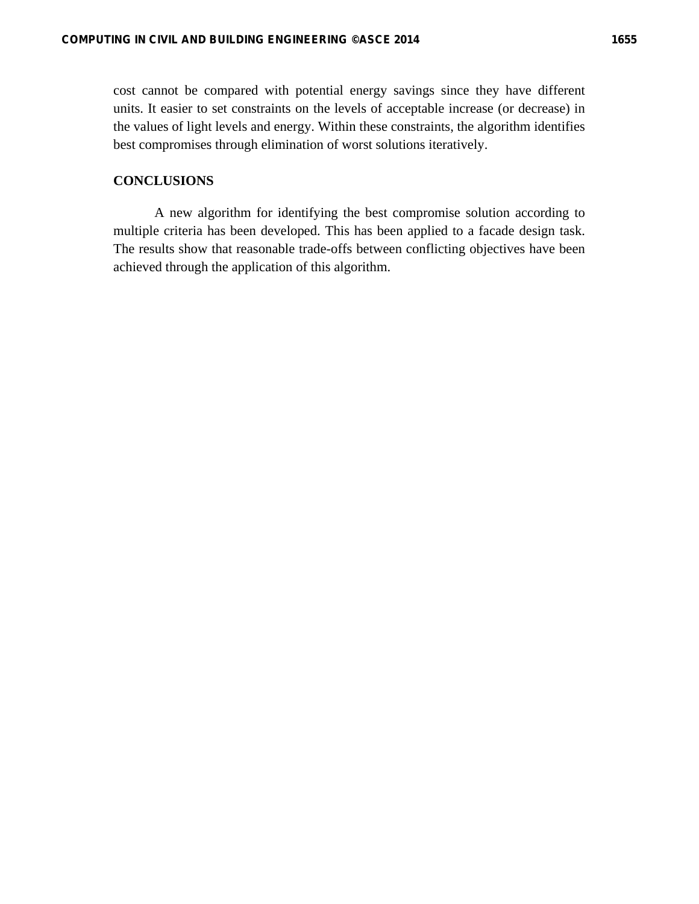# **CONCLUSIONS**

A new algorithm for identifying the best compromise solution according to multiple criteria has been developed. This has been applied to a facade design task. The results show that reasonable trade-offs between conflicting objectives have been achieved through the application of this algorithm.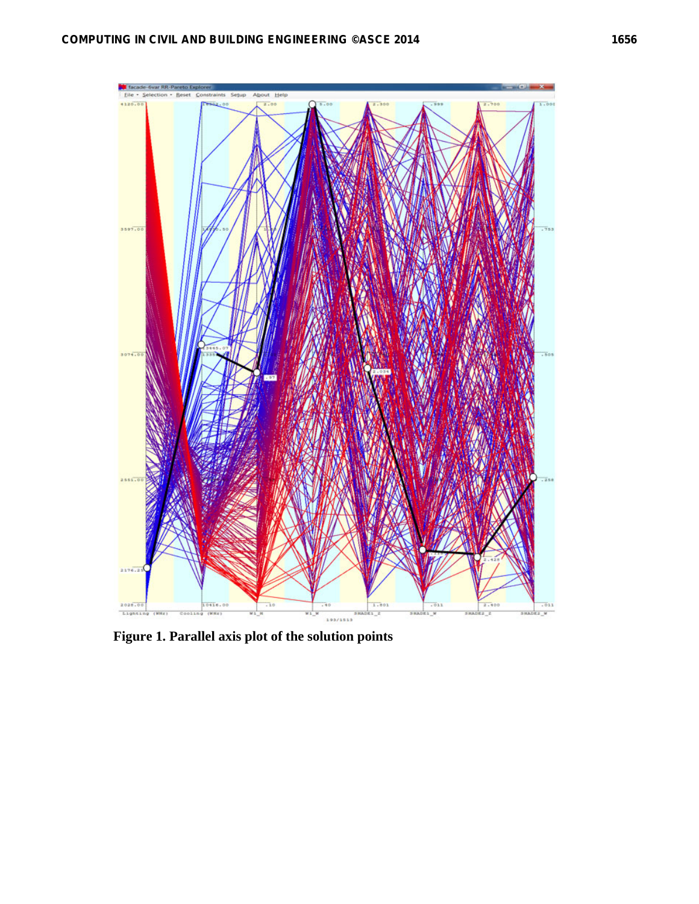

**Figure 1. Parallel axis plot of the solution points**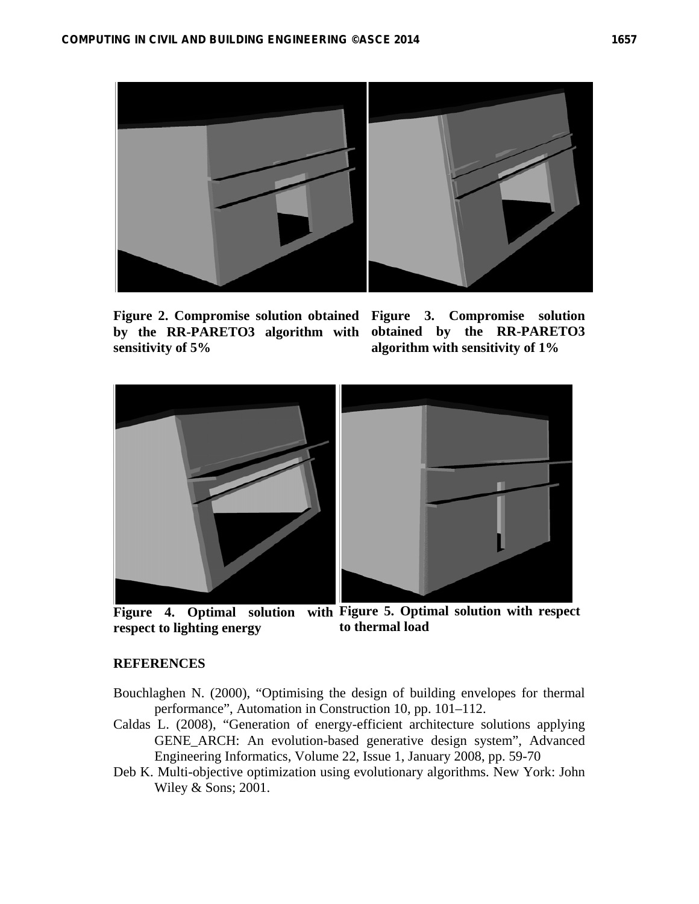

**Figure 2. Compromise solution obtained Figure 3. Compromise solution by the RR-PARETO3 algorithm with sensitivity of 5%** 

**obtained by the RR-PARETO3 algorithm with sensitivity of 1%** 



**Figure 4. Optimal solution with Figure 5. Optimal solution with respect respect to lighting energy to thermal load** 

# **REFERENCES**

- Bouchlaghen N. (2000), "Optimising the design of building envelopes for thermal performance", Automation in Construction 10, pp. 101–112.
- Caldas L. (2008), "Generation of energy-efficient architecture solutions applying GENE\_ARCH: An evolution-based generative design system", Advanced Engineering Informatics, Volume 22, Issue 1, January 2008, pp. 59-70
- Deb K. Multi-objective optimization using evolutionary algorithms. New York: John Wiley & Sons; 2001.